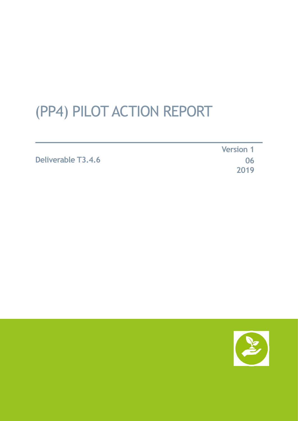# (PP4) PILOT ACTION REPORT

**Deliverable T3.4.6**

**Version 1 06 2019**

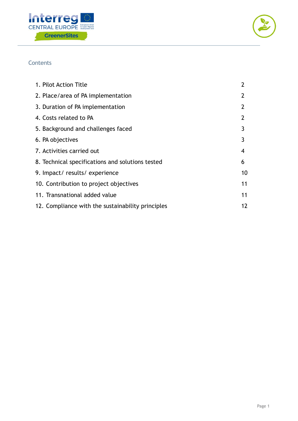



# **Contents**

| 1. Pilot Action Title                             | 2              |
|---------------------------------------------------|----------------|
| 2. Place/area of PA implementation                | 2              |
| 3. Duration of PA implementation                  | $\overline{2}$ |
| 4. Costs related to PA                            | 2              |
| 5. Background and challenges faced                | 3              |
| 6. PA objectives                                  | 3              |
| 7. Activities carried out                         | 4              |
| 8. Technical specifications and solutions tested  | 6              |
| 9. Impact/results/experience                      | 10             |
| 10. Contribution to project objectives            | 11             |
| 11. Transnational added value                     | 11             |
| 12. Compliance with the sustainability principles | 12             |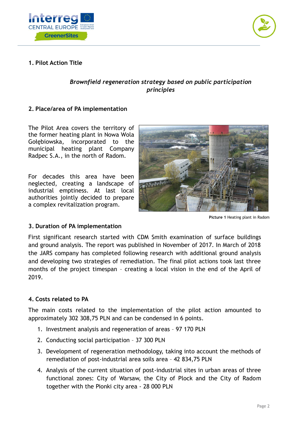



# **1. Pilot Action Title**

# *Brownfield regeneration strategy based on public participation principles*

# **2. Place/area of PA implementation**

The Pilot Area covers the territory of the former heating plant in Nowa Wola Gołębiowska, incorporated to the municipal heating plant Company Radpec S.A., in the north of Radom.

For decades this area have been neglected, creating a landscape of industrial emptiness. At last local authorities jointly decided to prepare a complex revitalization program.



**Picture 1** Heating plant in Radom

## **3. Duration of PA implementation**

First significant research started with CDM Smith examination of surface buildings and ground analysis. The report was published in November of 2017. In March of 2018 the JARS company has completed following research with additional ground analysis and developing two strategies of remediation. The final pilot actions took last three months of the project timespan – creating a local vision in the end of the April of 2019.

## **4. Costs related to PA**

The main costs related to the implementation of the pilot action amounted to approximately 302 308,75 PLN and can be condensed in 6 points.

- 1. Investment analysis and regeneration of areas 97 170 PLN
- 2. Conducting social participation 37 300 PLN
- 3. Development of regeneration methodology, taking into account the methods of remediation of post-industrial area soils area – 42 834,75 PLN
- 4. Analysis of the current situation of post-industrial sites in urban areas of three functional zones: City of Warsaw, the City of Plock and the City of Radom together with the Pionki city area - 28 000 PLN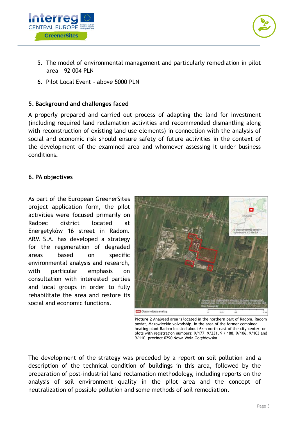



- 5. The model of environmental management and particularly remediation in pilot area – 92 004 PLN
- 6. Pilot Local Event above 5000 PLN

# **5. Background and challenges faced**

A properly prepared and carried out process of adapting the land for investment (including required land reclamation activities and recommended dismantling along with reconstruction of existing land use elements) in connection with the analysis of social and economic risk should ensure safety of future activities in the context of the development of the examined area and whomever assessing it under business conditions.

# **6. PA objectives**

As part of the European GreenerSites project application form, the pilot activities were focused primarily on Radpec district located at Energetyków 16 street in Radom. ARM S.A. has developed a strategy for the regeneration of degraded areas based on specific environmental analysis and research, with particular emphasis on consultation with interested parties and local groups in order to fully rehabilitate the area and restore its social and economic functions.



**Picture 2** Analysed area is located in the northern part of Radom, Radom poviat, Mazowieckie voivodship, in the area of the former combined heating plant Radom located about 6km north-east of the city center, on plots with registration numbers: 9/177, 9/231, 9 / 188, 9/106, 9/103 and 9/110, precinct 0290 Nowa Wola Gołębiowska

The development of the strategy was preceded by a report on soil pollution and a description of the technical condition of buildings in this area, followed by the preparation of post-industrial land reclamation methodology, including reports on the analysis of soil environment quality in the pilot area and the concept of neutralization of possible pollution and some methods of soil remediation.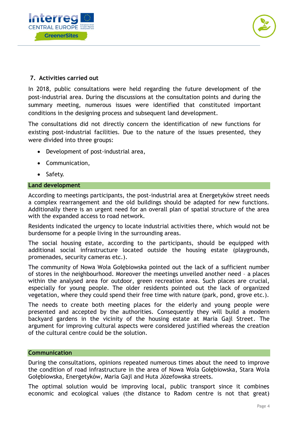



# **7. Activities carried out**

In 2018, public consultations were held regarding the future development of the post-industrial area. During the discussions at the consultation points and during the summary meeting, numerous issues were identified that constituted important conditions in the designing process and subsequent land development.

The consultations did not directly concern the identification of new functions for existing post-industrial facilities. Due to the nature of the issues presented, they were divided into three groups:

- Development of post-industrial area,
- Communication,
- Safety.

## **Land development**

According to meetings participants, the post-industrial area at Energetyków street needs a complex rearrangement and the old buildings should be adapted for new functions. Additionally there is an urgent need for an overall plan of spatial structure of the area with the expanded access to road network.

Residents indicated the urgency to locate industrial activities there, which would not be burdensome for a people living in the surrounding areas.

The social housing estate, according to the participants, should be equipped with additional social infrastructure located outside the housing estate (playgrounds, promenades, security cameras etc.).

The community of Nowa Wola Gołębiowska pointed out the lack of a sufficient number of stores in the neighbourhood. Moreover the meetings unveiled another need – a places within the analysed area for outdoor, green recreation area. Such places are crucial, especially for young people. The older residents pointed out the lack of organized vegetation, where they could spend their free time with nature (park, pond, grove etc.).

The needs to create both meeting places for the elderly and young people were presented and accepted by the authorities. Consequently they will build a modern backyard gardens in the vicinity of the housing estate at Maria Gajl Street. The argument for improving cultural aspects were considered justified whereas the creation of the cultural centre could be the solution.

## **Communication**

During the consultations, opinions repeated numerous times about the need to improve the condition of road infrastructure in the area of Nowa Wola Gołębiowska, Stara Wola Gołębiowska, Energetyków, Maria Gajl and Huta Józefowska streets.

The optimal solution would be improving local, public transport since it combines economic and ecological values (the distance to Radom centre is not that great)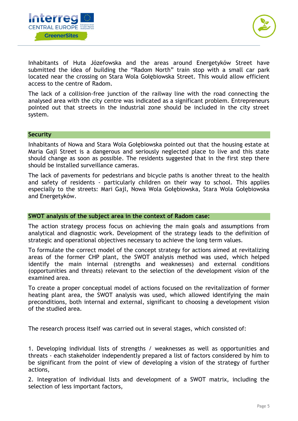



Inhabitants of Huta Józefowska and the areas around Energetyków Street have submitted the idea of building the "Radom North" train stop with a small car park located near the crossing on Stara Wola Gołębiowska Street. This would allow efficient access to the centre of Radom.

The lack of a collision-free junction of the railway line with the road connecting the analysed area with the city centre was indicated as a significant problem. Entrepreneurs pointed out that streets in the industrial zone should be included in the city street system.

## **Security**

Inhabitants of Nowa and Stara Wola Gołębiowska pointed out that the housing estate at Maria Gajl Street is a dangerous and seriously neglected place to live and this state should change as soon as possible. The residents suggested that in the first step there should be installed surveillance cameras.

The lack of pavements for pedestrians and bicycle paths is another threat to the health and safety of residents - particularly children on their way to school. This applies especially to the streets: Mari Gajl, Nowa Wola Gołębiowska, Stara Wola Gołębiowska and Energetyków.

#### **SWOT analysis of the subject area in the context of Radom case:**

The action strategy process focus on achieving the main goals and assumptions from analytical and diagnostic work. Development of the strategy leads to the definition of strategic and operational objectives necessary to achieve the long term values.

To formulate the correct model of the concept strategy for actions aimed at revitalizing areas of the former CHP plant, the SWOT analysis method was used, which helped identify the main internal (strengths and weaknesses) and external conditions (opportunities and threats) relevant to the selection of the development vision of the examined area.

To create a proper conceptual model of actions focused on the revitalization of former heating plant area, the SWOT analysis was used, which allowed identifying the main preconditions, both internal and external, significant to choosing a development vision of the studied area.

The research process itself was carried out in several stages, which consisted of:

1. Developing individual lists of strengths / weaknesses as well as opportunities and threats - each stakeholder independently prepared a list of factors considered by him to be significant from the point of view of developing a vision of the strategy of further actions,

2. Integration of individual lists and development of a SWOT matrix, including the selection of less important factors,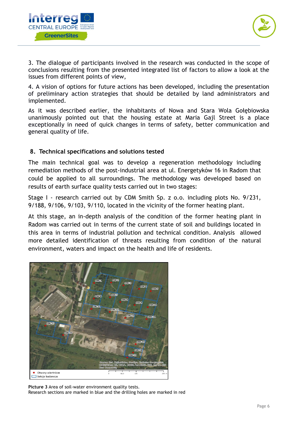



3. The dialogue of participants involved in the research was conducted in the scope of conclusions resulting from the presented integrated list of factors to allow a look at the issues from different points of view,

4. A vision of options for future actions has been developed, including the presentation of preliminary action strategies that should be detailed by land administrators and implemented.

As it was described earlier, the inhabitants of Nowa and Stara Wola Gołębiowska unanimously pointed out that the housing estate at Maria Gajl Street is a place exceptionally in need of quick changes in terms of safety, better communication and general quality of life.

# **8. Technical specifications and solutions tested**

The main technical goal was to develop a regeneration methodology including remediation methods of the post-industrial area at ul. Energetyków 16 in Radom that could be applied to all surroundings. The methodology was developed based on results of earth surface quality tests carried out in two stages:

Stage I - research carried out by CDM Smith Sp. z o.o. including plots No. 9/231, 9/188, 9/106, 9/103, 9/110, located in the vicinity of the former heating plant.

At this stage, an in-depth analysis of the condition of the former heating plant in Radom was carried out in terms of the current state of soil and buildings located in this area in terms of industrial pollution and technical condition. Analysis allowed more detailed identification of threats resulting from condition of the natural environment, waters and impact on the health and life of residents.



**Picture 3** Area of soil-water environment quality tests. Research sections are marked in blue and the drilling holes are marked in red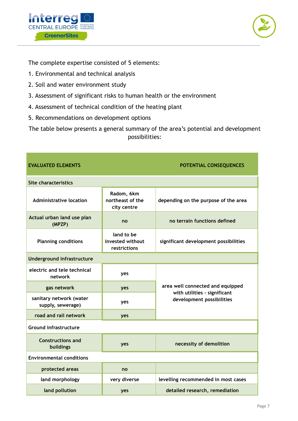



The complete expertise consisted of 5 elements:

- 1. Environmental and technical analysis
- 2. Soil and water environment study
- 3. Assessment of significant risks to human health or the environment
- 4. Assessment of technical condition of the heating plant
- 5. Recommendations on development options

The table below presents a general summary of the area's potential and development possibilities:

| <b>EVALUATED ELEMENTS</b>                    |                                                | POTENTIAL CONSEQUENCES                                    |  |
|----------------------------------------------|------------------------------------------------|-----------------------------------------------------------|--|
| <b>Site characteristics</b>                  |                                                |                                                           |  |
| <b>Administrative location</b>               | Radom, 6km<br>northeast of the<br>city centre  | depending on the purpose of the area                      |  |
| Actual urban land use plan<br>(MPZP)         | no                                             | no terrain functions defined                              |  |
| <b>Planning conditions</b>                   | land to be<br>invested without<br>restrictions | significant development possibilities                     |  |
| Underground infrastructure                   |                                                |                                                           |  |
| electric and tele technical<br>network       | yes                                            | area well connected and equipped                          |  |
| gas network                                  | yes                                            |                                                           |  |
| sanitary network (water<br>supply, sewerage) | yes                                            | with utilities - significant<br>development possibilities |  |
| road and rail network                        | yes                                            |                                                           |  |
| <b>Ground infrastructure</b>                 |                                                |                                                           |  |
| <b>Constructions and</b><br>buildings        | yes                                            | necessity of demolition                                   |  |
| <b>Environmental conditions</b>              |                                                |                                                           |  |
| protected areas                              | no                                             |                                                           |  |
| land morphology                              | very diverse                                   | levelling recommended in most cases                       |  |
| land pollution                               | yes                                            | detailed research, remediation                            |  |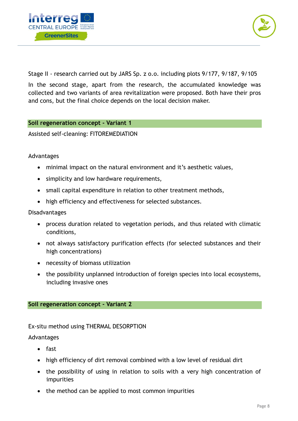



Stage II - research carried out by JARS Sp. z o.o. including plots 9/177, 9/187, 9/105

In the second stage, apart from the research, the accumulated knowledge was collected and two variants of area revitalization were proposed. Both have their pros and cons, but the final choice depends on the local decision maker.

## **Soil regeneration concept - Variant 1**

Assisted self-cleaning: FITOREMEDIATION

## Advantages

- minimal impact on the natural environment and it's aesthetic values,
- simplicity and low hardware requirements,
- small capital expenditure in relation to other treatment methods,
- high efficiency and effectiveness for selected substances.

## Disadvantages

- process duration related to vegetation periods, and thus related with climatic conditions,
- not always satisfactory purification effects (for selected substances and their high concentrations)
- necessity of biomass utilization
- the possibility unplanned introduction of foreign species into local ecosystems, including invasive ones

## **Soil regeneration concept - Variant 2**

Ex-situ method using THERMAL DESORPTION

## Advantages

- fast
- high efficiency of dirt removal combined with a low level of residual dirt
- the possibility of using in relation to soils with a very high concentration of impurities
- the method can be applied to most common impurities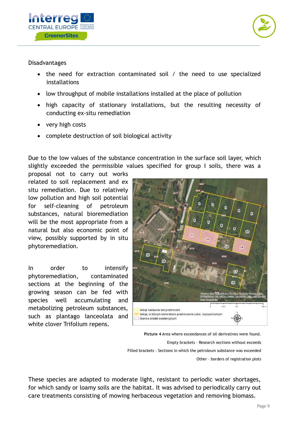



## Disadvantages

- the need for extraction contaminated soil / the need to use specialized installations
- low throughput of mobile installations installed at the place of pollution
- high capacity of stationary installations, but the resulting necessity of conducting ex-situ remediation
- very high costs
- complete destruction of soil biological activity

Due to the low values of the substance concentration in the surface soil layer, which slightly exceeded the permissible values specified for group I soils, there was a

proposal not to carry out works related to soil replacement and ex situ remediation. Due to relatively low pollution and high soil potential for self-cleaning of petroleum substances, natural bioremediation will be the most appropriate from a natural but also economic point of view, possibly supported by in situ phytoremediation.

In order to intensify phytoremediation, contaminated sections at the beginning of the growing season can be fed with species well accumulating and metabolizing petroleum substances, such as plantago lanceolata and white clover Trifolium repens.



**Picture 4** Area where exceedances of oil derivatives were found. Empty brackets – Research sections without exceeds Filled brackets - Sections in which the petroleum substance was exceeded Other – borders of registration plots

These species are adapted to moderate light, resistant to periodic water shortages, for which sandy or loamy soils are the habitat. It was advised to periodically carry out care treatments consisting of mowing herbaceous vegetation and removing biomass.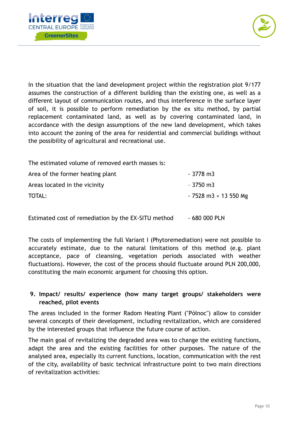



In the situation that the land development project within the registration plot 9/177 assumes the construction of a different building than the existing one, as well as a different layout of communication routes, and thus interference in the surface layer of soil, it is possible to perform remediation by the ex situ method, by partial replacement contaminated land, as well as by covering contaminated land, in accordance with the design assumptions of the new land development, which takes into account the zoning of the area for residential and commercial buildings without the possibility of agricultural and recreational use.

The estimated volume of removed earth masses is: Area of the former heating plant - 3778 m3 Areas located in the vicinity example of the state of  $\sim$  3750 m3 TOTAL: 7528 m3 ≈ 13 550 Mg

Estimated cost of remediation by the EX-SITU method - 680 000 PLN

The costs of implementing the full Variant I (Phytoremediation) were not possible to accurately estimate, due to the natural limitations of this method (e.g. plant acceptance, pace of cleansing, vegetation periods associated with weather fluctuations). However, the cost of the process should fluctuate around PLN 200,000, constituting the main economic argument for choosing this option.

# **9. Impact/ results/ experience (how many target groups/ stakeholders were reached, pilot events**

The areas included in the former Radom Heating Plant ("Północ") allow to consider several concepts of their development, including revitalization, which are considered by the interested groups that influence the future course of action.

The main goal of revitalizing the degraded area was to change the existing functions, adapt the area and the existing facilities for other purposes. The nature of the analysed area, especially its current functions, location, communication with the rest of the city, availability of basic technical infrastructure point to two main directions of revitalization activities: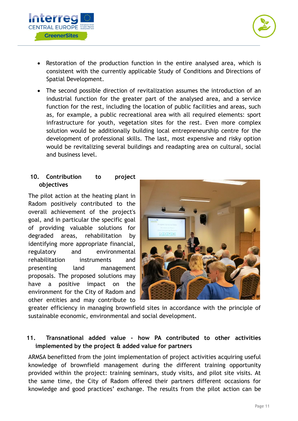



- Restoration of the production function in the entire analysed area, which is consistent with the currently applicable Study of Conditions and Directions of Spatial Development.
- The second possible direction of revitalization assumes the introduction of an industrial function for the greater part of the analysed area, and a service function for the rest, including the location of public facilities and areas, such as, for example, a public recreational area with all required elements: sport infrastructure for youth, vegetation sites for the rest. Even more complex solution would be additionally building local entrepreneurship centre for the development of professional skills. The last, most expensive and risky option would be revitalizing several buildings and readapting area on cultural, social and business level.

# **10. Contribution to project objectives**

The pilot action at the heating plant in Radom positively contributed to the overall achievement of the project's goal, and in particular the specific goal of providing valuable solutions for degraded areas, rehabilitation by identifying more appropriate financial, regulatory and environmental rehabilitation instruments and presenting land management proposals. The proposed solutions may have a positive impact on the environment for the City of Radom and other entities and may contribute to



greater efficiency in managing brownfield sites in accordance with the principle of sustainable economic, environmental and social development.

# **11. Transnational added value - how PA contributed to other activities implemented by the project & added value for partners**

ARMSA benefitted from the joint implementation of project activities acquiring useful knowledge of brownfield management during the different training opportunity provided within the project: training seminars, study visits, and pilot site visits. At the same time, the City of Radom offered their partners different occasions for knowledge and good practices' exchange. The results from the pilot action can be